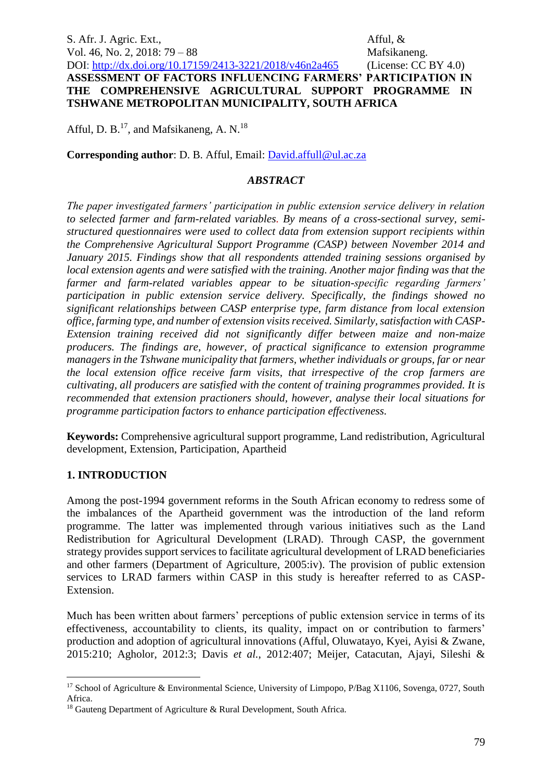S. Afr. J. Agric. Ext., Afful, & Vol. 46, No. 2, 2018: 79 – 88 Mafsikaneng. DOI:<http://dx.doi.org/10.17159/2413-3221/2018/v46n2a465> (License: CC BY 4.0) **ASSESSMENT OF FACTORS INFLUENCING FARMERS' PARTICIPATION IN THE COMPREHENSIVE AGRICULTURAL SUPPORT PROGRAMME IN TSHWANE METROPOLITAN MUNICIPALITY, SOUTH AFRICA**

Afful, D. B.<sup>17</sup>, and Mafsikaneng, A. N.<sup>18</sup>

**Corresponding author**: D. B. Afful, Email: [David.affull@ul.ac.za](mailto:David.affull@ul.ac.za)

#### *ABSTRACT*

*The paper investigated farmers' participation in public extension service delivery in relation to selected farmer and farm-related variables. By means of a cross-sectional survey, semistructured questionnaires were used to collect data from extension support recipients within the Comprehensive Agricultural Support Programme (CASP) between November 2014 and January 2015. Findings show that all respondents attended training sessions organised by local extension agents and were satisfied with the training. Another major finding was that the farmer and farm-related variables appear to be situation-specific regarding farmers' participation in public extension service delivery. Specifically, the findings showed no significant relationships between CASP enterprise type, farm distance from local extension office, farming type, and number of extension visits received. Similarly, satisfaction with CASP-Extension training received did not significantly differ between maize and non-maize producers. The findings are, however, of practical significance to extension programme managers in the Tshwane municipality that farmers, whether individuals or groups, far or near the local extension office receive farm visits, that irrespective of the crop farmers are cultivating, all producers are satisfied with the content of training programmes provided. It is recommended that extension practioners should, however, analyse their local situations for programme participation factors to enhance participation effectiveness.* 

**Keywords:** Comprehensive agricultural support programme, Land redistribution, Agricultural development, Extension, Participation, Apartheid

#### **1. INTRODUCTION**

<u>.</u>

Among the post-1994 government reforms in the South African economy to redress some of the imbalances of the Apartheid government was the introduction of the land reform programme. The latter was implemented through various initiatives such as the Land Redistribution for Agricultural Development (LRAD). Through CASP, the government strategy provides support services to facilitate agricultural development of LRAD beneficiaries and other farmers (Department of Agriculture, 2005:iv). The provision of public extension services to LRAD farmers within CASP in this study is hereafter referred to as CASP-Extension.

Much has been written about farmers' perceptions of public extension service in terms of its effectiveness, accountability to clients, its quality, impact on or contribution to farmers' production and adoption of agricultural innovations (Afful, Oluwatayo, Kyei, Ayisi & Zwane, 2015:210; Agholor, 2012:3; Davis *et al.*, 2012:407; Meijer, Catacutan, Ajayi, Sileshi &

 $17$  School of Agriculture & Environmental Science, University of Limpopo, P/Bag X1106, Sovenga, 0727, South Africa.

<sup>&</sup>lt;sup>18</sup> Gauteng Department of Agriculture & Rural Development, South Africa.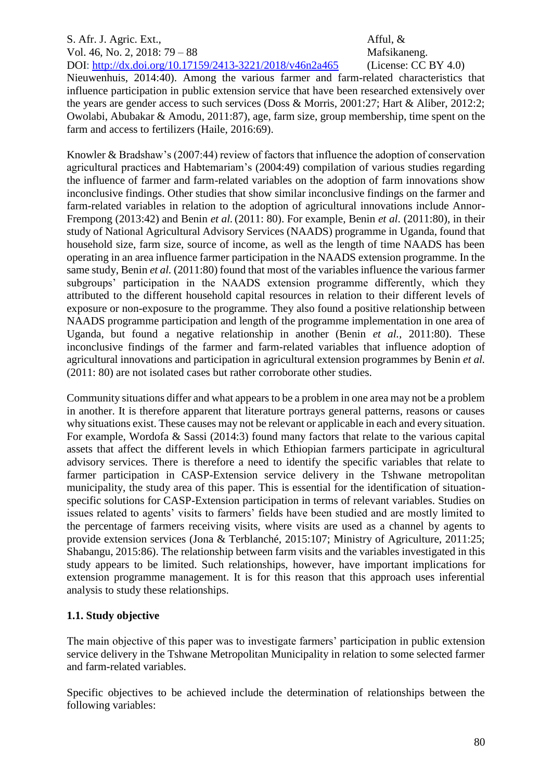#### S. Afr. J. Agric. Ext., Afful, & Vol. 46, No. 2, 2018: 79 – 88 Mafsikaneng. DOI:<http://dx.doi.org/10.17159/2413-3221/2018/v46n2a465> (License: CC BY 4.0)

Nieuwenhuis, 2014:40). Among the various farmer and farm-related characteristics that influence participation in public extension service that have been researched extensively over the years are gender access to such services (Doss & Morris, 2001:27; Hart & Aliber, 2012:2; Owolabi, Abubakar & Amodu, 2011:87), age, farm size, group membership, time spent on the farm and access to fertilizers (Haile, 2016:69).

Knowler & Bradshaw's (2007:44) review of factors that influence the adoption of conservation agricultural practices and Habtemariam's (2004:49) compilation of various studies regarding the influence of farmer and farm-related variables on the adoption of farm innovations show inconclusive findings. Other studies that show similar inconclusive findings on the farmer and farm-related variables in relation to the adoption of agricultural innovations include Annor-Frempong (2013:42) and Benin *et al.*(2011: 80). For example, Benin *et al*. (2011:80), in their study of National Agricultural Advisory Services (NAADS) programme in Uganda, found that household size, farm size, source of income, as well as the length of time NAADS has been operating in an area influence farmer participation in the NAADS extension programme. In the same study, Benin *et al.* (2011:80) found that most of the variables influence the various farmer subgroups' participation in the NAADS extension programme differently, which they attributed to the different household capital resources in relation to their different levels of exposure or non-exposure to the programme. They also found a positive relationship between NAADS programme participation and length of the programme implementation in one area of Uganda, but found a negative relationship in another (Benin *et al.,* 2011:80). These inconclusive findings of the farmer and farm-related variables that influence adoption of agricultural innovations and participation in agricultural extension programmes by Benin *et al.* (2011: 80) are not isolated cases but rather corroborate other studies.

Community situations differ and what appears to be a problem in one area may not be a problem in another. It is therefore apparent that literature portrays general patterns, reasons or causes why situations exist. These causes may not be relevant or applicable in each and every situation. For example, Wordofa & Sassi (2014:3) found many factors that relate to the various capital assets that affect the different levels in which Ethiopian farmers participate in agricultural advisory services. There is therefore a need to identify the specific variables that relate to farmer participation in CASP-Extension service delivery in the Tshwane metropolitan municipality, the study area of this paper. This is essential for the identification of situationspecific solutions for CASP-Extension participation in terms of relevant variables. Studies on issues related to agents' visits to farmers' fields have been studied and are mostly limited to the percentage of farmers receiving visits, where visits are used as a channel by agents to provide extension services (Jona & Terblanché, 2015:107; Ministry of Agriculture, 2011:25; Shabangu, 2015:86). The relationship between farm visits and the variables investigated in this study appears to be limited. Such relationships, however, have important implications for extension programme management. It is for this reason that this approach uses inferential analysis to study these relationships.

# **1.1. Study objective**

The main objective of this paper was to investigate farmers' participation in public extension service delivery in the Tshwane Metropolitan Municipality in relation to some selected farmer and farm-related variables.

Specific objectives to be achieved include the determination of relationships between the following variables: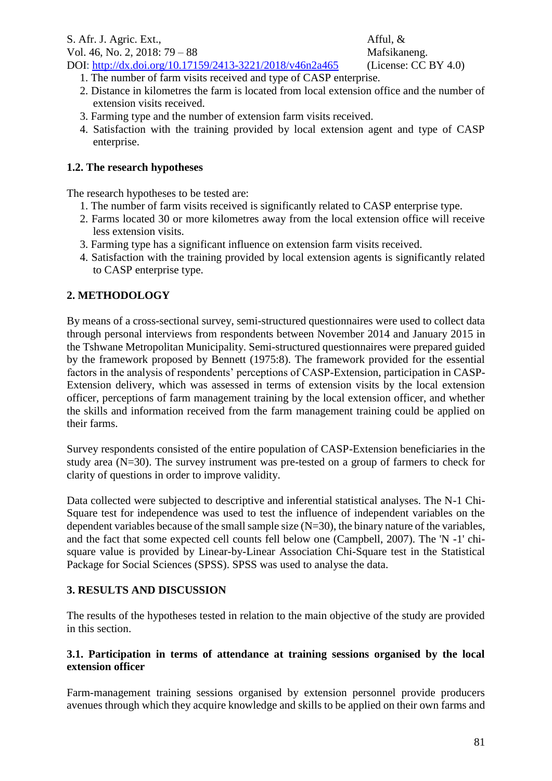Vol. 46, No. 2, 2018: 79 – 88 Mafsikaneng.

- DOI:<http://dx.doi.org/10.17159/2413-3221/2018/v46n2a465> (License: CC BY 4.0) 1. The number of farm visits received and type of CASP enterprise.
	- 2. Distance in kilometres the farm is located from local extension office and the number of extension visits received.
	- 3. Farming type and the number of extension farm visits received.
	- 4. Satisfaction with the training provided by local extension agent and type of CASP enterprise.

## **1.2. The research hypotheses**

The research hypotheses to be tested are:

- 1. The number of farm visits received is significantly related to CASP enterprise type.
- 2. Farms located 30 or more kilometres away from the local extension office will receive less extension visits.
- 3. Farming type has a significant influence on extension farm visits received.
- 4. Satisfaction with the training provided by local extension agents is significantly related to CASP enterprise type.

## **2. METHODOLOGY**

By means of a cross-sectional survey, semi-structured questionnaires were used to collect data through personal interviews from respondents between November 2014 and January 2015 in the Tshwane Metropolitan Municipality. Semi-structured questionnaires were prepared guided by the framework proposed by Bennett (1975:8). The framework provided for the essential factors in the analysis of respondents' perceptions of CASP-Extension, participation in CASP-Extension delivery, which was assessed in terms of extension visits by the local extension officer, perceptions of farm management training by the local extension officer, and whether the skills and information received from the farm management training could be applied on their farms.

Survey respondents consisted of the entire population of CASP-Extension beneficiaries in the study area (N=30). The survey instrument was pre-tested on a group of farmers to check for clarity of questions in order to improve validity.

Data collected were subjected to descriptive and inferential statistical analyses. The N-1 Chi-Square test for independence was used to test the influence of independent variables on the dependent variables because of the small sample size  $(N=30)$ , the binary nature of the variables, and the fact that some expected cell counts fell below one (Campbell, 2007). The 'N -1' chisquare value is provided by Linear-by-Linear Association Chi-Square test in the Statistical Package for Social Sciences (SPSS). SPSS was used to analyse the data.

### **3. RESULTS AND DISCUSSION**

The results of the hypotheses tested in relation to the main objective of the study are provided in this section.

#### **3.1. Participation in terms of attendance at training sessions organised by the local extension officer**

Farm-management training sessions organised by extension personnel provide producers avenues through which they acquire knowledge and skills to be applied on their own farms and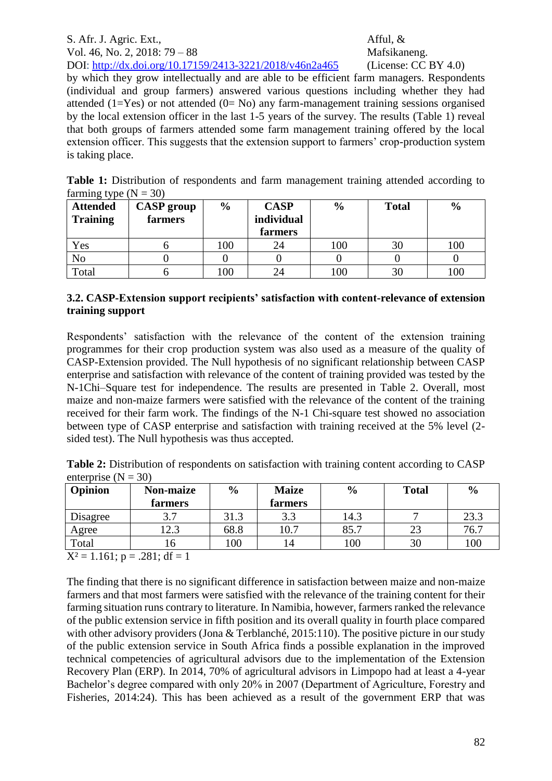### S. Afr. J. Agric. Ext., Afful, & Vol. 46, No. 2, 2018: 79 – 88 Mafsikaneng. DOI:<http://dx.doi.org/10.17159/2413-3221/2018/v46n2a465> (License: CC BY 4.0)

by which they grow intellectually and are able to be efficient farm managers. Respondents (individual and group farmers) answered various questions including whether they had attended  $(1=Yes)$  or not attended  $(0=No)$  any farm-management training sessions organised by the local extension officer in the last 1-5 years of the survey. The results (Table 1) reveal that both groups of farmers attended some farm management training offered by the local extension officer. This suggests that the extension support to farmers' crop-production system is taking place.

Table 1: Distribution of respondents and farm management training attended according to farming type  $(N = 30)$ 

| - - -<br><b>Attended</b><br><b>Training</b> | <b>CASP</b> group<br>farmers | $\frac{0}{0}$ | <b>CASP</b><br>individual<br>farmers | $\frac{6}{9}$ | <b>Total</b> | $\frac{6}{9}$ |
|---------------------------------------------|------------------------------|---------------|--------------------------------------|---------------|--------------|---------------|
| Yes                                         |                              | 100           | 24                                   | 100           | 30           | 100           |
| No                                          |                              |               |                                      |               |              |               |
| Total                                       |                              | 100           | 24                                   | 100           | 30           | 100           |

## **3.2. CASP-Extension support recipients' satisfaction with content-relevance of extension training support**

Respondents' satisfaction with the relevance of the content of the extension training programmes for their crop production system was also used as a measure of the quality of CASP-Extension provided. The Null hypothesis of no significant relationship between CASP enterprise and satisfaction with relevance of the content of training provided was tested by the N-1Chi–Square test for independence. The results are presented in Table 2. Overall, most maize and non-maize farmers were satisfied with the relevance of the content of the training received for their farm work. The findings of the N-1 Chi-square test showed no association between type of CASP enterprise and satisfaction with training received at the 5% level (2 sided test). The Null hypothesis was thus accepted.

| Table 2: Distribution of respondents on satisfaction with training content according to CASP |  |  |
|----------------------------------------------------------------------------------------------|--|--|
| enterprise $(N = 30)$                                                                        |  |  |

| Opinion                    | <b>Non-maize</b><br>farmers | $\frac{0}{0}$ | <b>Maize</b><br>farmers | $\frac{6}{9}$ | <b>Total</b> | $\frac{6}{9}$ |
|----------------------------|-----------------------------|---------------|-------------------------|---------------|--------------|---------------|
| Disagree                   |                             | 31.3          | 3.3                     | 14.3          |              | 23.3          |
| Agree                      | 12.3                        | 68.8          | 10.7                    | 85.7          | 23           | 76.7          |
| Total                      | 10                          | 100           | 14                      | 100           | 30           | 100           |
| $\mathbf{X}$<br>$1.1$ $-1$ | $0.01 \pm 10$               |               |                         |               |              |               |

 $X^2 = 1.161$ ; p = .281; df = 1

The finding that there is no significant difference in satisfaction between maize and non-maize farmers and that most farmers were satisfied with the relevance of the training content for their farming situation runs contrary to literature. In Namibia, however, farmers ranked the relevance of the public extension service in fifth position and its overall quality in fourth place compared with other advisory providers (Jona & Terblanché, 2015:110). The positive picture in our study of the public extension service in South Africa finds a possible explanation in the improved technical competencies of agricultural advisors due to the implementation of the Extension Recovery Plan (ERP). In 2014, 70% of agricultural advisors in Limpopo had at least a 4-year Bachelor's degree compared with only 20% in 2007 (Department of Agriculture, Forestry and Fisheries, 2014:24). This has been achieved as a result of the government ERP that was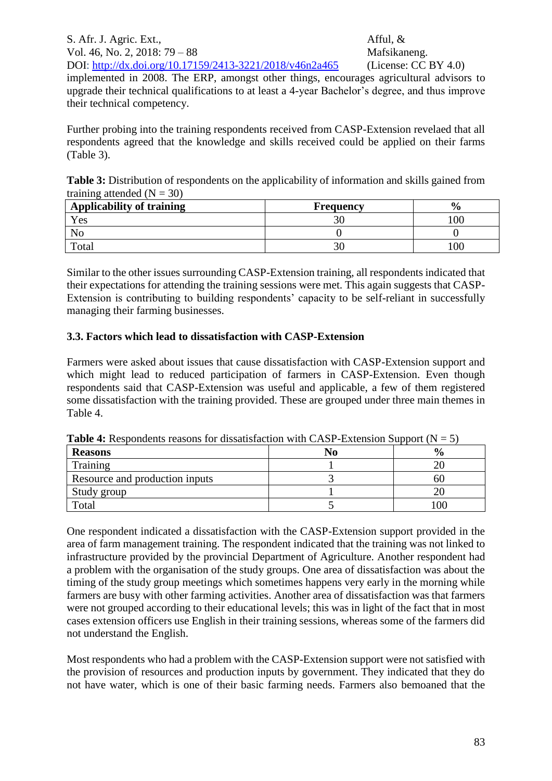S. Afr. J. Agric. Ext., Afful, & Vol. 46, No. 2, 2018: 79 – 88 Mafsikaneng. DOI:<http://dx.doi.org/10.17159/2413-3221/2018/v46n2a465> (License: CC BY 4.0) implemented in 2008. The ERP, amongst other things, encourages agricultural advisors to upgrade their technical qualifications to at least a 4-year Bachelor's degree, and thus improve their technical competency.

Further probing into the training respondents received from CASP-Extension revelaed that all respondents agreed that the knowledge and skills received could be applied on their farms (Table 3).

Table 3: Distribution of respondents on the applicability of information and skills gained from training attended  $(N = 30)$ 

| <b>Applicability of training</b> | <b>Frequency</b> | $\mathbf{v}_{\alpha}$ |
|----------------------------------|------------------|-----------------------|
| Yes                              |                  |                       |
|                                  |                  |                       |
| Total                            |                  |                       |

Similar to the other issues surrounding CASP-Extension training, all respondents indicated that their expectations for attending the training sessions were met. This again suggests that CASP-Extension is contributing to building respondents' capacity to be self-reliant in successfully managing their farming businesses.

### **3.3. Factors which lead to dissatisfaction with CASP-Extension**

Farmers were asked about issues that cause dissatisfaction with CASP-Extension support and which might lead to reduced participation of farmers in CASP-Extension. Even though respondents said that CASP-Extension was useful and applicable, a few of them registered some dissatisfaction with the training provided. These are grouped under three main themes in Table 4.

| <b>THEIR IS TROOP OF DEPTHS TO A CONTRIGUEST WHILE CLISTE EXTREMENTED BUDDEN (TT <math>= 5</math>)</b> |    |               |  |  |  |  |
|--------------------------------------------------------------------------------------------------------|----|---------------|--|--|--|--|
| <b>Reasons</b>                                                                                         | NO | $\frac{0}{0}$ |  |  |  |  |
| Training                                                                                               |    |               |  |  |  |  |
| Resource and production inputs                                                                         |    | nı            |  |  |  |  |
| Study group                                                                                            |    |               |  |  |  |  |
| Total                                                                                                  |    | 00            |  |  |  |  |

**Table 4:** Respondents reasons for dissatisfaction with CASP-Extension Support ( $N = 5$ )

One respondent indicated a dissatisfaction with the CASP-Extension support provided in the area of farm management training. The respondent indicated that the training was not linked to infrastructure provided by the provincial Department of Agriculture. Another respondent had a problem with the organisation of the study groups. One area of dissatisfaction was about the timing of the study group meetings which sometimes happens very early in the morning while farmers are busy with other farming activities. Another area of dissatisfaction was that farmers were not grouped according to their educational levels; this was in light of the fact that in most cases extension officers use English in their training sessions, whereas some of the farmers did not understand the English.

Most respondents who had a problem with the CASP-Extension support were not satisfied with the provision of resources and production inputs by government. They indicated that they do not have water, which is one of their basic farming needs. Farmers also bemoaned that the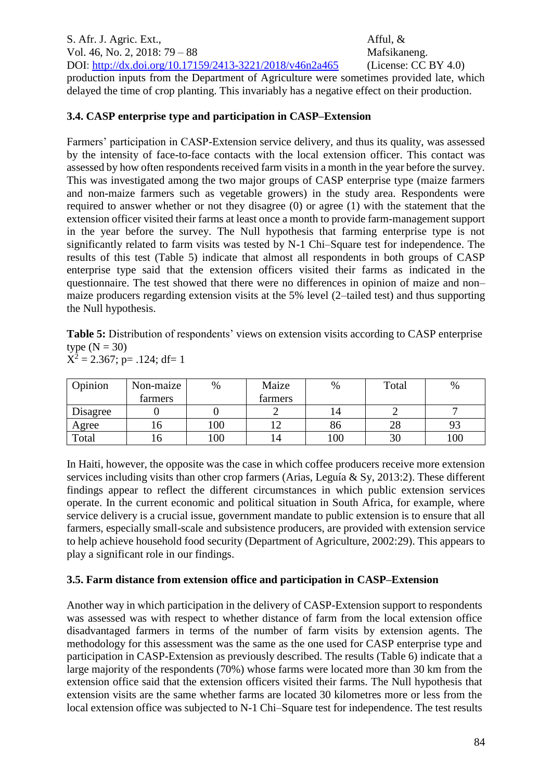S. Afr. J. Agric. Ext., Afful, & Vol. 46, No. 2, 2018: 79 – 88 Mafsikaneng. DOI:<http://dx.doi.org/10.17159/2413-3221/2018/v46n2a465> (License: CC BY 4.0) production inputs from the Department of Agriculture were sometimes provided late, which delayed the time of crop planting. This invariably has a negative effect on their production.

## **3.4. CASP enterprise type and participation in CASP–Extension**

Farmers' participation in CASP-Extension service delivery, and thus its quality, was assessed by the intensity of face-to-face contacts with the local extension officer. This contact was assessed by how often respondents received farm visits in a month in the year before the survey. This was investigated among the two major groups of CASP enterprise type (maize farmers and non-maize farmers such as vegetable growers) in the study area. Respondents were required to answer whether or not they disagree (0) or agree (1) with the statement that the extension officer visited their farms at least once a month to provide farm-management support in the year before the survey. The Null hypothesis that farming enterprise type is not significantly related to farm visits was tested by N-1 Chi–Square test for independence. The results of this test (Table 5) indicate that almost all respondents in both groups of CASP enterprise type said that the extension officers visited their farms as indicated in the questionnaire. The test showed that there were no differences in opinion of maize and non– maize producers regarding extension visits at the 5% level (2–tailed test) and thus supporting the Null hypothesis.

Table 5: Distribution of respondents' views on extension visits according to CASP enterprise type  $(N = 30)$  $X^2 = 2.367$ ; p= .124; df= 1

| Opinion  | Non-maize | %   | Maize   | $\%$ | Total | %   |
|----------|-----------|-----|---------|------|-------|-----|
|          | farmers   |     | farmers |      |       |     |
| Disagree |           |     |         | 14   |       |     |
| Agree    | 10        | 100 |         | 86   | 28    |     |
| Total    | ∡O.       | 100 | 14      | 100  | 30    | 100 |

In Haiti, however, the opposite was the case in which coffee producers receive more extension services including visits than other crop farmers (Arias, Leguía & Sy, 2013:2). These different findings appear to reflect the different circumstances in which public extension services operate. In the current economic and political situation in South Africa, for example, where service delivery is a crucial issue, government mandate to public extension is to ensure that all farmers, especially small-scale and subsistence producers, are provided with extension service to help achieve household food security (Department of Agriculture, 2002:29). This appears to play a significant role in our findings.

# **3.5. Farm distance from extension office and participation in CASP–Extension**

Another way in which participation in the delivery of CASP-Extension support to respondents was assessed was with respect to whether distance of farm from the local extension office disadvantaged farmers in terms of the number of farm visits by extension agents. The methodology for this assessment was the same as the one used for CASP enterprise type and participation in CASP-Extension as previously described. The results (Table 6) indicate that a large majority of the respondents (70%) whose farms were located more than 30 km from the extension office said that the extension officers visited their farms. The Null hypothesis that extension visits are the same whether farms are located 30 kilometres more or less from the local extension office was subjected to N-1 Chi–Square test for independence. The test results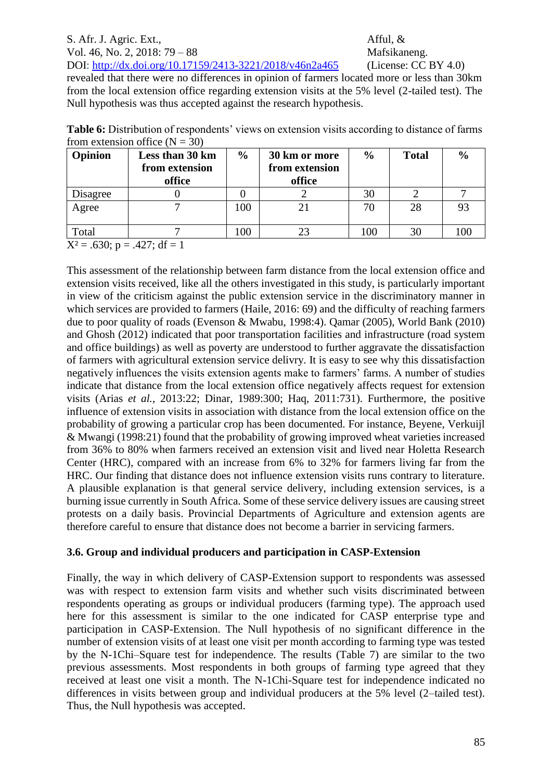## S. Afr. J. Agric. Ext., Afful, &

Vol. 46, No. 2, 2018: 79 – 88 Mafsikaneng.

DOI:<http://dx.doi.org/10.17159/2413-3221/2018/v46n2a465> (License: CC BY 4.0) revealed that there were no differences in opinion of farmers located more or less than 30km from the local extension office regarding extension visits at the 5% level (2-tailed test). The Null hypothesis was thus accepted against the research hypothesis.

**Table 6:** Distribution of respondents' views on extension visits according to distance of farms from extension office  $(N = 30)$ 

| Opinion  | Less than 30 km | $\frac{0}{0}$ | 30 km or more  | $\frac{0}{0}$ | <b>Total</b> | $\frac{0}{0}$ |
|----------|-----------------|---------------|----------------|---------------|--------------|---------------|
|          | from extension  |               | from extension |               |              |               |
|          | office          |               | office         |               |              |               |
| Disagree |                 |               |                | 30            |              |               |
| Agree    |                 | 100           |                |               | 28           |               |
|          |                 |               |                |               |              |               |
| Total    |                 | 100           |                | 100           | 30           |               |

 $X^2 = .630$ ; p = .427; df = 1

This assessment of the relationship between farm distance from the local extension office and extension visits received, like all the others investigated in this study, is particularly important in view of the criticism against the public extension service in the discriminatory manner in which services are provided to farmers (Haile, 2016: 69) and the difficulty of reaching farmers due to poor quality of roads (Evenson & Mwabu, 1998:4). Qamar (2005), World Bank (2010) and Ghosh (2012) indicated that poor transportation facilities and infrastructure (road system and office buildings) as well as poverty are understood to further aggravate the dissatisfaction of farmers with agricultural extension service delivry. It is easy to see why this dissatisfaction negatively influences the visits extension agents make to farmers' farms. A number of studies indicate that distance from the local extension office negatively affects request for extension visits (Arias *et al.*, 2013:22; Dinar, 1989:300; Haq, 2011:731). Furthermore, the positive influence of extension visits in association with distance from the local extension office on the probability of growing a particular crop has been documented. For instance, Beyene, Verkuijl & Mwangi (1998:21) found that the probability of growing improved wheat varieties increased from 36% to 80% when farmers received an extension visit and lived near Holetta Research Center (HRC), compared with an increase from 6% to 32% for farmers living far from the HRC. Our finding that distance does not influence extension visits runs contrary to literature. A plausible explanation is that general service delivery, including extension services, is a burning issue currently in South Africa. Some of these service delivery issues are causing street protests on a daily basis. Provincial Departments of Agriculture and extension agents are therefore careful to ensure that distance does not become a barrier in servicing farmers.

### **3.6. Group and individual producers and participation in CASP-Extension**

Finally, the way in which delivery of CASP-Extension support to respondents was assessed was with respect to extension farm visits and whether such visits discriminated between respondents operating as groups or individual producers (farming type). The approach used here for this assessment is similar to the one indicated for CASP enterprise type and participation in CASP-Extension. The Null hypothesis of no significant difference in the number of extension visits of at least one visit per month according to farming type was tested by the N-1Chi–Square test for independence. The results (Table 7) are similar to the two previous assessments. Most respondents in both groups of farming type agreed that they received at least one visit a month. The N-1Chi-Square test for independence indicated no differences in visits between group and individual producers at the 5% level (2–tailed test). Thus, the Null hypothesis was accepted.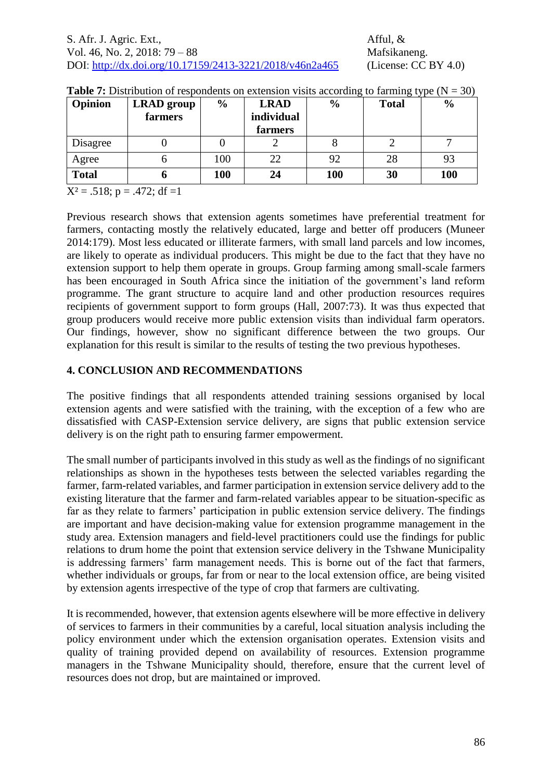| Opinion      | <b>LRAD</b> group | $\frac{6}{6}$ | <b>LRAD</b> | $\frac{6}{9}$ | <b>Total</b> | $\frac{0}{0}$ |
|--------------|-------------------|---------------|-------------|---------------|--------------|---------------|
|              | farmers           |               | individual  |               |              |               |
|              |                   |               | farmers     |               |              |               |
| Disagree     |                   |               |             |               |              |               |
| Agree        |                   | 100           | 22          | 92            | 28           |               |
| <b>Total</b> |                   | 100           | 24          | <b>100</b>    | 30           | 100           |

| <b>Table 7:</b> Distribution of respondents on extension visits according to farming type $(N = 30)$ |  |  |  |
|------------------------------------------------------------------------------------------------------|--|--|--|
|                                                                                                      |  |  |  |

 $X^2 = .518$ ; p = .472; df =1

Previous research shows that extension agents sometimes have preferential treatment for farmers, contacting mostly the relatively educated, large and better off producers (Muneer 2014:179). Most less educated or illiterate farmers, with small land parcels and low incomes, are likely to operate as individual producers. This might be due to the fact that they have no extension support to help them operate in groups. Group farming among small-scale farmers has been encouraged in South Africa since the initiation of the government's land reform programme. The grant structure to acquire land and other production resources requires recipients of government support to form groups (Hall, 2007:73). It was thus expected that group producers would receive more public extension visits than individual farm operators. Our findings, however, show no significant difference between the two groups. Our explanation for this result is similar to the results of testing the two previous hypotheses.

## **4. CONCLUSION AND RECOMMENDATIONS**

The positive findings that all respondents attended training sessions organised by local extension agents and were satisfied with the training, with the exception of a few who are dissatisfied with CASP-Extension service delivery, are signs that public extension service delivery is on the right path to ensuring farmer empowerment.

The small number of participants involved in this study as well as the findings of no significant relationships as shown in the hypotheses tests between the selected variables regarding the farmer, farm-related variables, and farmer participation in extension service delivery add to the existing literature that the farmer and farm-related variables appear to be situation-specific as far as they relate to farmers' participation in public extension service delivery. The findings are important and have decision-making value for extension programme management in the study area. Extension managers and field-level practitioners could use the findings for public relations to drum home the point that extension service delivery in the Tshwane Municipality is addressing farmers' farm management needs. This is borne out of the fact that farmers, whether individuals or groups, far from or near to the local extension office, are being visited by extension agents irrespective of the type of crop that farmers are cultivating.

It is recommended, however, that extension agents elsewhere will be more effective in delivery of services to farmers in their communities by a careful, local situation analysis including the policy environment under which the extension organisation operates. Extension visits and quality of training provided depend on availability of resources. Extension programme managers in the Tshwane Municipality should, therefore, ensure that the current level of resources does not drop, but are maintained or improved.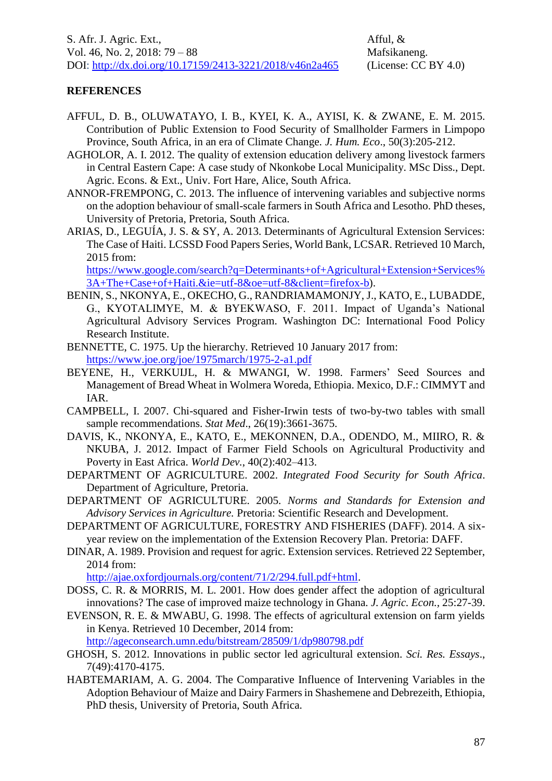### **REFERENCES**

- AFFUL, D. B., OLUWATAYO, I. B., KYEI, K. A., AYISI, K. & ZWANE, E. M. 2015. Contribution of Public Extension to Food Security of Smallholder Farmers in Limpopo Province, South Africa, in an era of Climate Change. *J. Hum. Eco*., 50(3):205-212.
- AGHOLOR, A. I. 2012. The quality of extension education delivery among livestock farmers in Central Eastern Cape: A case study of Nkonkobe Local Municipality. MSc Diss., Dept. Agric. Econs. & Ext., Univ. Fort Hare, Alice, South Africa.
- ANNOR-FREMPONG, C. 2013. The influence of intervening variables and subjective norms on the adoption behaviour of small-scale farmers in South Africa and Lesotho. PhD theses, University of Pretoria, Pretoria, South Africa.
- ARIAS, D., LEGUÍA, J. S. & SY, A. 2013. Determinants of Agricultural Extension Services: The Case of Haiti. LCSSD Food Papers Series, World Bank, LCSAR. Retrieved 10 March, 2015 from:

[https://www.google.com/search?q=Determinants+of+Agricultural+Extension+Services%](https://www.google.com/search?q=Determinants+of+Agricultural+Extension+Services%3A+The+Case+of+Haiti.&ie=utf-8&oe=utf-8&client=firefox-b) [3A+The+Case+of+Haiti.&ie=utf-8&oe=utf-8&client=firefox-b\)](https://www.google.com/search?q=Determinants+of+Agricultural+Extension+Services%3A+The+Case+of+Haiti.&ie=utf-8&oe=utf-8&client=firefox-b).

- BENIN, S., NKONYA, E., OKECHO, G., RANDRIAMAMONJY, J., KATO, E., LUBADDE, G., KYOTALIMYE, M. & BYEKWASO, F. 2011. Impact of Uganda's National Agricultural Advisory Services Program. Washington DC: International Food Policy Research Institute.
- BENNETTE, C. 1975. Up the hierarchy. Retrieved 10 January 2017 from: <https://www.joe.org/joe/1975march/1975-2-a1.pdf>
- BEYENE, H., VERKUIJL, H. & MWANGI, W. 1998. Farmers' Seed Sources and Management of Bread Wheat in Wolmera Woreda, Ethiopia. Mexico, D.F.: CIMMYT and IAR.
- CAMPBELL, I. 2007. Chi-squared and Fisher-Irwin tests of two-by-two tables with small sample recommendations. *Stat Med*., 26(19):3661-3675.
- DAVIS, K., NKONYA, E., KATO, E., MEKONNEN, D.A., ODENDO, M., MIIRO, R. & NKUBA, J. 2012. Impact of Farmer Field Schools on Agricultural Productivity and Poverty in East Africa. *World Dev.*, 40(2):402–413.
- DEPARTMENT OF AGRICULTURE. 2002. *Integrated Food Security for South Africa*. Department of Agriculture, Pretoria.
- DEPARTMENT OF AGRICULTURE. 2005. *Norms and Standards for Extension and Advisory Services in Agriculture.* Pretoria: Scientific Research and Development.
- DEPARTMENT OF AGRICULTURE, FORESTRY AND FISHERIES (DAFF). 2014. A sixyear review on the implementation of the Extension Recovery Plan. Pretoria: DAFF.
- DINAR, A. 1989. Provision and request for agric. Extension services. Retrieved 22 September, 2014 from:

[http://ajae.oxfordjournals.org/content/71/2/294.full.pdf+html.](http://ajae.oxfordjournals.org/content/71/2/294.full.pdf+html)

- DOSS, C. R. & MORRIS, M. L. 2001. How does gender affect the adoption of agricultural innovations? The case of improved maize technology in Ghana. *J. Agric. Econ.,* 25:27-39.
- EVENSON, R. E. & MWABU, G. 1998. The effects of agricultural extension on farm yields in Kenya. Retrieved 10 December, 2014 from: <http://ageconsearch.umn.edu/bitstream/28509/1/dp980798.pdf>
- GHOSH, S. 2012. Innovations in public sector led agricultural extension. *Sci. Res. Essays*., 7(49):4170-4175.
- HABTEMARIAM, A. G. 2004. The Comparative Influence of Intervening Variables in the Adoption Behaviour of Maize and Dairy Farmers in Shashemene and Debrezeith, Ethiopia, PhD thesis, University of Pretoria, South Africa.